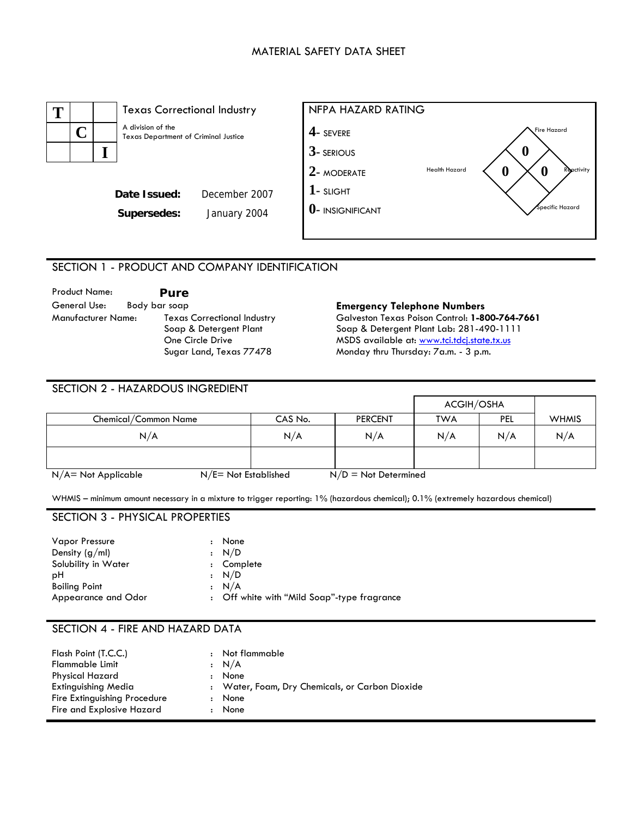#### MATERIAL SAFETY DATA SHEET



# SECTION 1 - PRODUCT AND COMPANY IDENTIFICATION

| Product Name:      |               | Pure                               |
|--------------------|---------------|------------------------------------|
| General Use:       | Body bar soap |                                    |
| Manufacturer Name: |               | <b>Texas Correctional Industry</b> |
|                    |               | Soap & Detergent Plant             |
|                    |               | One Circle Drive                   |
|                    |               | Sugar Land, Texas 77478            |

**Emergency Telephone Numbers** Galveston Texas Poison Control: **1-800-764-7661**  Soap & Detergent Plant Lab: 281-490-1111 MSDS available at: [www.tci.tdcj.state.tx.us](http://www.tci.tdcj.state.tx.us/) Monday thru Thursday: 7a.m. - 3 p.m.

| <b>SECTION 2 - HAZARDOUS INGREDIENT</b> |                                                   |         |                |                   |            |              |
|-----------------------------------------|---------------------------------------------------|---------|----------------|-------------------|------------|--------------|
|                                         |                                                   |         |                | <b>ACGIH/OSHA</b> |            |              |
| Chemical/Common Name                    |                                                   | CAS No. | <b>PERCENT</b> | <b>TWA</b>        | <b>PEL</b> | <b>WHMIS</b> |
| N/A                                     |                                                   | N/A     | N/A            | N/A               | N/A        | N/A          |
|                                         |                                                   |         |                |                   |            |              |
| N/A= Not Applicable                     | $N/E = Not$ Established<br>$N/D = Not$ Determined |         |                |                   |            |              |

WHMIS – minimum amount necessary in a mixture to trigger reporting: 1% (hazardous chemical); 0.1% (extremely hazardous chemical)

### SECTION 3 - PHYSICAL PROPERTIES

| <b>Vapor Pressure</b> | : None                                      |
|-----------------------|---------------------------------------------|
| Density $(g/ml)$      | : N/D                                       |
| Solubility in Water   | : Complete                                  |
| рH                    | : N/D                                       |
| <b>Boiling Point</b>  | : N/A                                       |
| Appearance and Odor   | : Off white with "Mild Soap"-type fragrance |

## SECTION 4 - FIRE AND HAZARD DATA

| Flash Point (T.C.C.)<br><b>Flammable Limit</b><br><b>Physical Hazard</b> | $\cdot$              | Not flammable<br>: N/A<br>None                  |
|--------------------------------------------------------------------------|----------------------|-------------------------------------------------|
| <b>Extinguishing Media</b>                                               | $\ddot{\phantom{a}}$ | : Water, Foam, Dry Chemicals, or Carbon Dioxide |
| Fire Extinguishing Procedure<br>Fire and Explosive Hazard                | $\ddot{\phantom{a}}$ | None<br>None                                    |